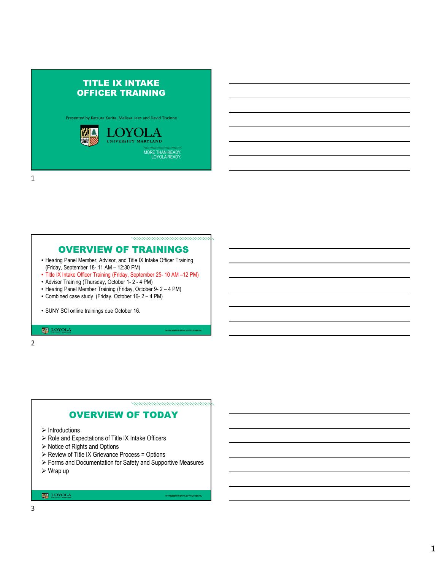# TITLE IX INTAKE OFFICER TRAINING

Presented by Katsura Kurita, Melissa Lees and David Tiscione



1

nommanananananana

## OVERVIEW OF TRAININGS

- Hearing Panel Member, Advisor, and Title IX Intake Officer Training (Friday, September 18- 11 AM – 12:30 PM)
- Title IX Intake Officer Training (Friday, September 25- 10 AM –12 PM)
- Advisor Training (Thursday, October 1- 2 4 PM)
- Hearing Panel Member Training (Friday, October 9- 2 4 PM)
- Combined case study (Friday, October 16- 2 4 PM)
- SUNY SCI online trainings due October 16.

## $\begin{tabular}{|c|c|c|c|} \hline \hline \hline \textbf{1D} & \textbf{LOYOLA} \\ \hline \textbf{1D} & \textbf{1D} & \textbf{1D} & \textbf{1D} & \textbf{1D} \\ \hline \textbf{1D} & \textbf{1D} & \textbf{1D} & \textbf{1D} & \textbf{1D} \\ \hline \textbf{1D} & \textbf{1D} & \textbf{1D} & \textbf{1D} & \textbf{1D} & \textbf{1D} \\ \hline \end{tabular}$

2

,,,,,,,,,,,,,,,,,,,,,,,,,,,,,,,,,

# OVERVIEW OF TODAY

- $\triangleright$  Introductions
- $\triangleright$  Role and Expectations of Title IX Intake Officers
- $\triangleright$  Notice of Rights and Options
- Review of Title IX Grievance Process = Options
- Forms and Documentation for Safety and Supportive Measures
- Wrap up

## **LOYOLA**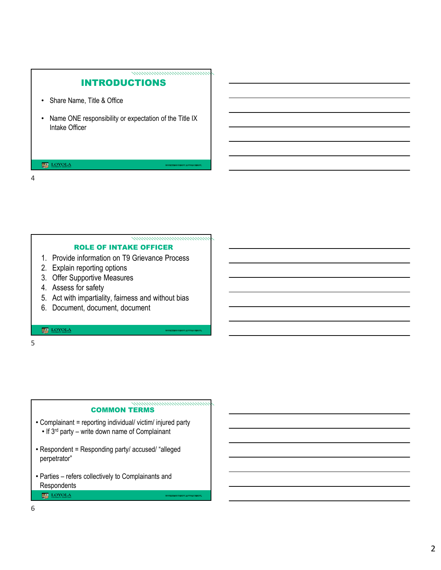# INTRODUCTIONS

namananananananan

,,,,,,,,,,,,,,,,,,,,,,,,,,,,,,,

- Share Name, Title & Office
- Name ONE responsibility or expectation of the Title IX Intake Officer

## **LOYOLA**

## 4

## ROLE OF INTAKE OFFICER

- 1. Provide information on T9 Grievance Process
- 2. Explain reporting options
- 3. Offer Supportive Measures
- 4. Assess for safety
- 5. Act with impartiality, fairness and without bias
- 6. Document, document, document

## $\underbrace{\mathbf{LOYOL}}_{\text{symmetry matrix}}$

## 5

#### ,,,,,,,,,,,,,,,,,,,,,,,,,,,,,, COMMON TERMS

- Complainant = reporting individual/ victim/ injured party • If 3rd party – write down name of Complainant
- Respondent = Responding party/ accused/ "alleged perpetrator"
- Parties refers collectively to Complainants and Respondents **LOYOLA**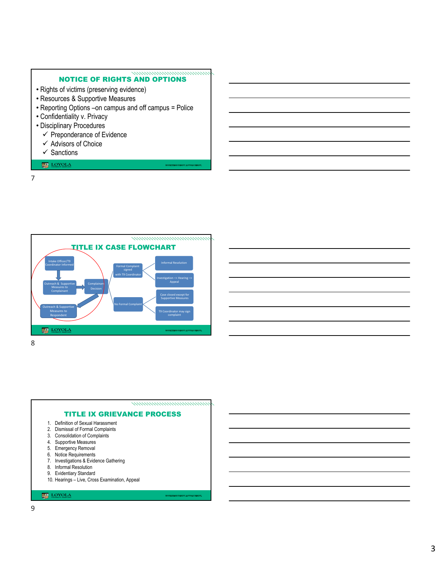#### namananananananan NOTICE OF RIGHTS AND OPTIONS

- Rights of victims (preserving evidence)
- Resources & Supportive Measures
- Reporting Options –on campus and off campus = Police
- Confidentiality v. Privacy
- Disciplinary Procedures
	- $\checkmark$  Preponderance of Evidence
	- $\checkmark$  Advisors of Choice
	- $\checkmark$  Sanctions

## LOYOLA

7



8



10. Hearings – Live, Cross Examination, Appeal

## $\overline{\text{C}}$ LOYOLA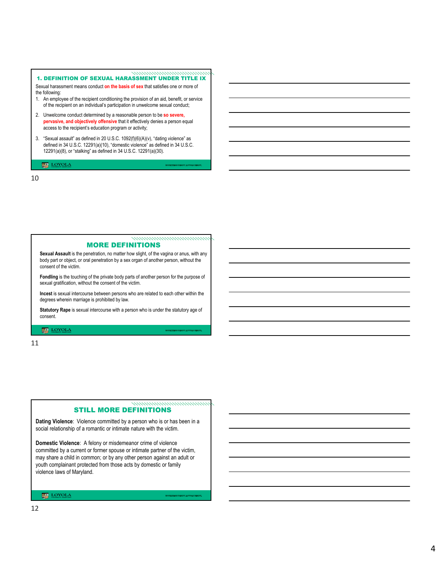#### 1. DEFINITION OF SEXUAL HARASSMENT UNDER TITLE IX

<u>manananananananan</u>

,,,,,,,,,,,,,,,,,,,,,,,,,,,,,,,,,,

nomoniminiminiminimini

Sexual harassment means conduct **on the basis of sex** that satisfies one or more of the following:

- 1. An employee of the recipient conditioning the provision of an aid, benefit, or service of the recipient on an individual's participation in unwelcome sexual conduct;
- 2. Unwelcome conduct determined by a reasonable person to be **so severe, pervasive, and objectively offensive** that it effectively denies a person equal access to the recipient's education program or activity;
- 3. "Sexual assault" as defined in 20 U.S.C. 1092(f)(6)(A)(v), "dating violence" as defined in 34 U.S.C. 12291(a)(10), "domestic violence" as defined in 34 U.S.C. 12291(a)(8), or "stalking" as defined in 34 U.S.C. 12291(a)(30).

#### $\fbox{$\begin{tabular}{|c|c|} \hline $\mathbf{Q}$ & \multicolumn{3}{|c|}{\textbf{LOYOL}} \\\hline \hline $\mathbf{Q}$ & \multicolumn{3}{|c|}{\textbf{LOYOL}} \\\hline \end{tabular}}$

10

#### MORE DEFINITIONS

**Sexual Assault** is the penetration, no matter how slight, of the vagina or anus, with any body part or object, or oral penetration by a sex organ of another person, without the consent of the victim.

**Fondling** is the touching of the private body parts of another person for the purpose of sexual gratification, without the consent of the victim.

**Incest** is sexual intercourse between persons who are related to each other within the degrees wherein marriage is prohibited by law.

**Statutory Rape** is sexual intercourse with a person who is under the statutory age of consent.

**MAN** LOYOLA

#### 11

#### STILL MORE DEFINITIONS

**Dating Violence**: Violence committed by a person who is or has been in a social relationship of a romantic or intimate nature with the victim.

**Domestic Violence**: A felony or misdemeanor crime of violence committed by a current or former spouse or intimate partner of the victim, may share a child in common; or by any other person against an adult or youth complainant protected from those acts by domestic or family violence laws of Maryland.

**LOYOLA**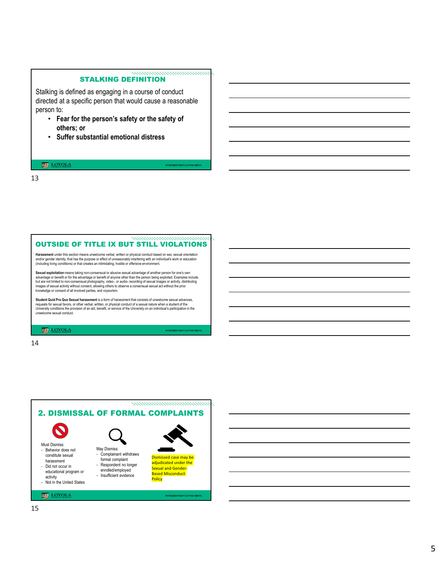## STALKING DEFINITION

namananananananana

Stalking is defined as engaging in a course of conduct directed at a specific person that would cause a reasonable person to:

- **Fear for the person's safety or the safety of others; or**
- **Suffer substantial emotional distress**

#### **LOYOLA**

13

#### nomoniminiminimininin OUTSIDE OF TITLE IX BUT STILL VIOLATIONS

**Harassment** under this section means unwelcome verbal, written or physical conduct based on sex, sexual orientation and/or gender identity, that has the purpose or effect of unreasonably interfering with an individual's work or education<br>(including living conditions) or that creates an intimidating, hostile or offensive environment.

**Sexual exploitation** means taking non-consensual or abusive sexual advantage of another person for one's own<br>advantage or benefit or for the advantage or benefit of anyone other than the person being exploited. Examples i images of sexual activity without consent, allowing others to observe a consensual sexual act without the prior knowledge or consent of all involved parties, and voyeurism.

**Student Quid Pro Quo Sexual harassment** is a form of harassment that consists of unwelcome sexual advances,<br>requests for sexual favors, or other verbal, written, or physical conduct of a sexual nature when a student of th unwelcome sexual conduct.

**MAN** LOYOLA

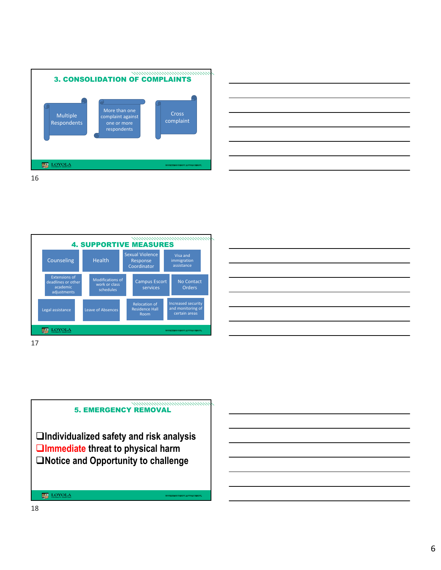







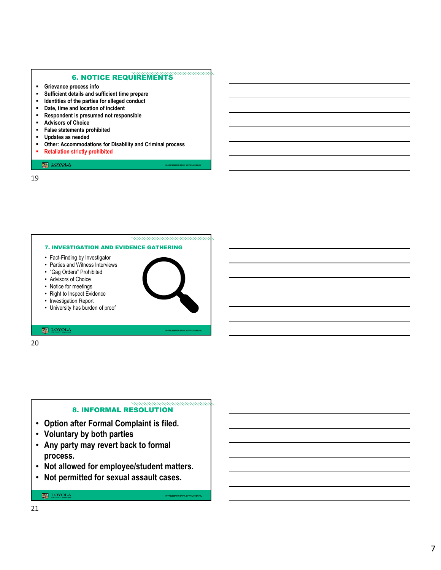## 6. NOTICE REQUIREMENTS

,,,,,,,,,,,,,

- **Grievance process info**
- **Sufficient details and sufficient time prepare**
- **Identities of the parties for alleged conduct**
- **Date, time and location of incident**
- **Respondent is presumed not responsible**
- **Advisors of Choice**
- **False statements prohibited**
- **Updates as needed**
- **Other: Accommodations for Disability and Criminal process**
- **Retaliation strictly prohibited**

## $\underbrace{\overline{\textbf{M}}\textbf{D}}_{\text{S<sub>NWRMWY} \text{MAXRAMRAM}}</sub>$ </sub>

19



20

#### namananananananana 8. INFORMAL RESOLUTION

- **Option after Formal Complaint is filed.**
- **Voluntary by both parties**
- **Any party may revert back to formal process.**
- **Not allowed for employee/student matters.**
- **Not permitted for sexual assault cases.**

## $\overline{\text{C}}$ LOYOLA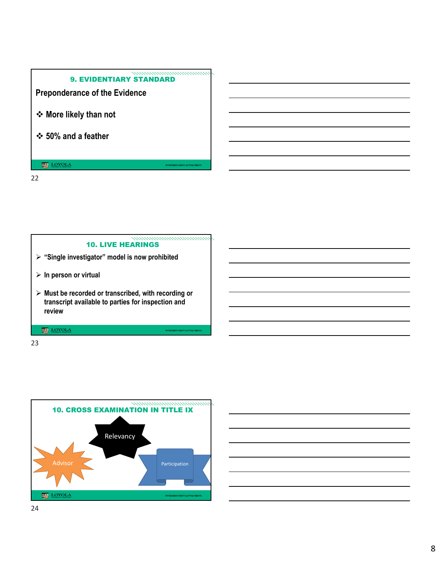## namananananananan 9. EVIDENTIARY STANDARD

**Preponderance of the Evidence** 

- **More likely than not**
- **50% and a feather**

**LOYOLA** 

22

# **"Single investigator" model is now prohibited In person or virtual** 10. LIVE HEARINGS

 **Must be recorded or transcribed, with recording or transcript available to parties for inspection and review** 

 $\begin{tabular}{|c|c|c|c|} \hline \hline \hline \multicolumn{3}{|c|}{\textbf{CDYOLA}}\\ \hline \multicolumn{3}{|c|}{\textbf{LOYOLA}}\\ \hline \multicolumn{3}{|c|}{\textbf{LOYOLA}}\\ \hline \multicolumn{3}{|c|}{\textbf{LOYOLA}}\\ \hline \multicolumn{3}{|c|}{\textbf{LOYOLA}}\\ \hline \multicolumn{3}{|c|}{\textbf{LOYOLA}}\\ \hline \multicolumn{3}{|c|}{\textbf{LOYOLA}}\\ \hline \multicolumn{3}{|c|}{\textbf{LOYOLA}}\\ \hline \multic$ 

23



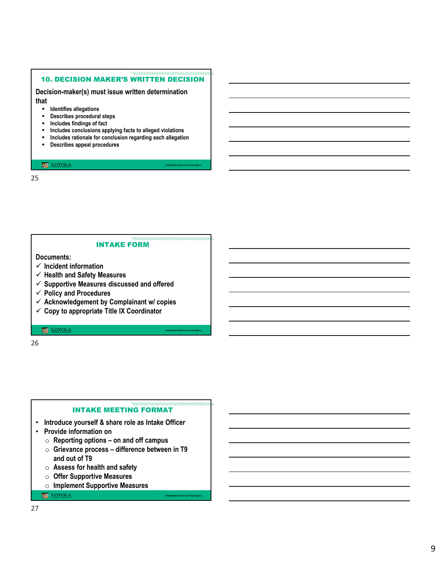#### <u>manananananananan</u> 10. DECISION MAKER'S WRITTEN DECISION

**Decision-maker(s) must issue written determination** 

**that**

- **Identifies allegations**
- **Describes procedural steps**
- **Includes findings of fact**
- **Includes conclusions applying facts to alleged violations**
- **Includes rationale for conclusion regarding each allegation**
- **Describes appeal procedures**

#### 

25

#### namamamamamaman INTAKE FORM

**Documents:** 

- **Incident information**
- **Health and Safety Measures**
- **Supportive Measures discussed and offered**
- **Policy and Procedures**
- **Acknowledgement by Complainant w/ copies**
- **Copy to appropriate Title IX Coordinator**

 $\underbrace{\mathbf{LOYOLA}}_{\text{symmetry Minkowski}}$ 

26

#### namananananananana INTAKE MEETING FORMAT

- **Introduce yourself & share role as Intake Officer**
- **Provide information on**
	- o **Reporting options on and off campus**
	- o **Grievance process difference between in T9 and out of T9**
	- o **Assess for health and safety**
	- o **Offer Supportive Measures**
	- o **Implement Supportive Measures**

**LOYOLA**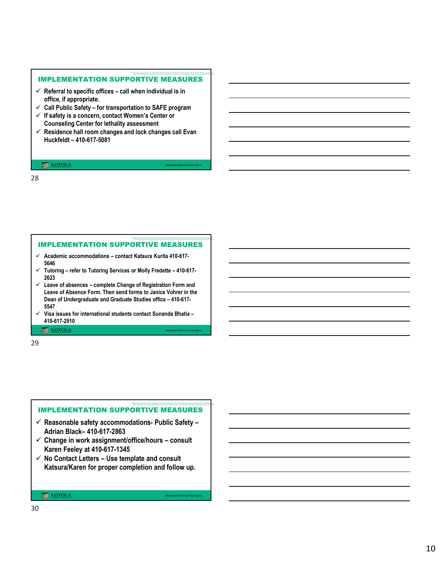#### <u>manananananananana</u> IMPLEMENTATION SUPPORTIVE MEASURES

- $\checkmark$  Referral to specific offices call when individual is in **office, if appropriate.**
- **Call Public Safety for transportation to SAFE program**
- **If safety is a concern, contact Women's Center or Counseling Center for lethality assessment**
- **Residence hall room changes and lock changes call Evan Huckfeldt – 410-617-5081**

## **LOYOLA**

## 28

## **Academic accommodations – contact Katsura Kurita 410-617-** IMPLEMENTATION SUPPORTIVE MEASURES

nomoniminiminimininin

- **5646**
- **Tutoring refer to Tutoring Services or Molly Fredette 410-617- 2623**
- **Leave of absences complete Change of Registration Form and Leave of Absence Form. Then send forms to Janice Vohrer in the Dean of Undergraduate and Graduate Studies office – 410-617- 5547**
- **Visa issues for international students contact Sunanda Bhatia – 410-617-2910**

## $\underbrace{\mathbf{LOYOL}}_{\text{S<sub>N</sub>$ </sub>

29

#### ,,,,,,,,,,,,,,,,,,,,,,,,,,,,,,,, IMPLEMENTATION SUPPORTIVE MEASURES

- **Reasonable safety accommodations- Public Safety – Adrian Black– 410-617-2863**
- **Change in work assignment/office/hours consult Karen Feeley at 410-617-1345**
- **No Contact Letters Use template and consult Katsura/Karen for proper completion and follow up.**

#### **MA** LOYOLA